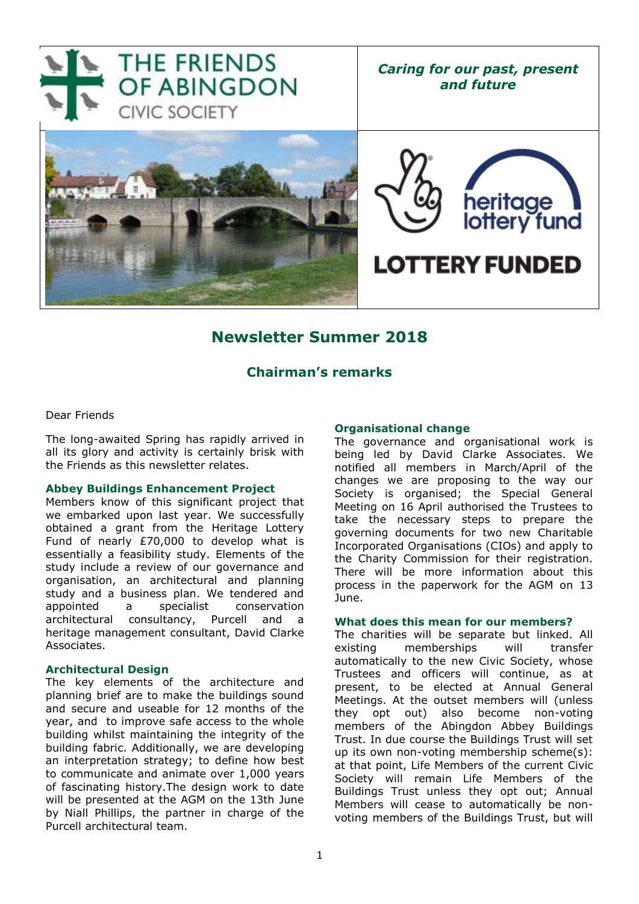

## **Newsletter Summer 2018**

### **Chairman's remarks**

### Dear Friends

The long-awaited Spring has rapidly arrived in all its glory and activity is certainly brisk with the Friends as this newsletter relates.

#### **Abbey Buildings Enhancement Project**

Members know of this significant project that we embarked upon last year. We successfully obtained a grant from the Heritage Lottery Fund of nearly £70,000 to develop what is essentially a feasibility study. Elements of the study include a review of our governance and organisation, an architectural and planning study and a business plan. We tendered and appointed a specialist conservation architectural consultancy, Purcell and a heritage management consultant, David Clarke Associates.

#### **Architectural Design**

The key elements of the architecture and planning brief are to make the buildings sound and secure and useable for 12 months of the year, and to improve safe access to the whole building whilst maintaining the integrity of the building fabric. Additionally, we are developing an interpretation strategy; to define how best to communicate and animate over 1,000 years of fascinating history.The design work to date will be presented at the AGM on the 13th June by Niall Phillips, the partner in charge of the Purcell architectural team.

### **Organisational change**

The governance and organisational work is being led by David Clarke Associates. We notified all members in March/April of the changes we are proposing to the way our Society is organised; the Special General Meeting on 16 April authorised the Trustees to take the necessary steps to prepare the governing documents for two new Charitable Incorporated Organisations (CIOs) and apply to the Charity Commission for their registration. There will be more information about this process in the paperwork for the AGM on 13 June.

#### **What does this mean for our members?**

The charities will be separate but linked. All existing memberships will transfer automatically to the new Civic Society, whose Trustees and officers will continue, as at present, to be elected at Annual General Meetings. At the outset members will (unless they opt out) also become non-voting members of the Abingdon Abbey Buildings Trust. In due course the Buildings Trust will set up its own non-voting membership scheme(s): at that point, Life Members of the current Civic Society will remain Life Members of the Buildings Trust unless they opt out; Annual Members will cease to automatically be nonvoting members of the Buildings Trust, but will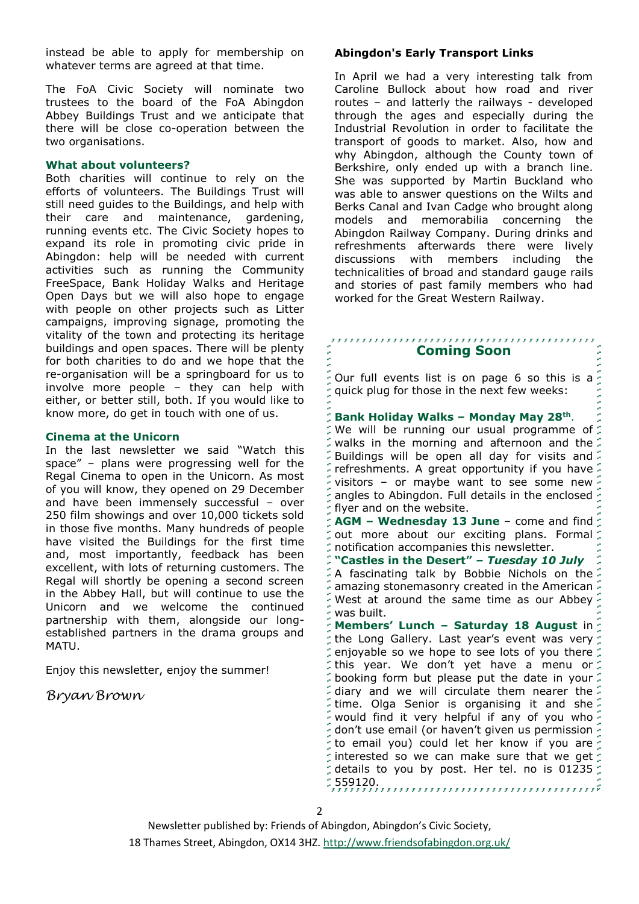instead be able to apply for membership on whatever terms are agreed at that time.

The FoA Civic Society will nominate two trustees to the board of the FoA Abingdon Abbey Buildings Trust and we anticipate that there will be close co-operation between the two organisations.

### **What about volunteers?**

Both charities will continue to rely on the efforts of volunteers. The Buildings Trust will still need guides to the Buildings, and help with their care and maintenance, gardening, running events etc. The Civic Society hopes to expand its role in promoting civic pride in Abingdon: help will be needed with current activities such as running the Community FreeSpace, Bank Holiday Walks and Heritage Open Days but we will also hope to engage with people on other projects such as Litter campaigns, improving signage, promoting the vitality of the town and protecting its heritage buildings and open spaces. There will be plenty for both charities to do and we hope that the re-organisation will be a springboard for us to involve more people – they can help with either, or better still, both. If you would like to know more, do get in touch with one of us.

### **Cinema at the Unicorn**

In the last newsletter we said "Watch this space" – plans were progressing well for the Regal Cinema to open in the Unicorn. As most of you will know, they opened on 29 December and have been immensely successful – over 250 film showings and over 10,000 tickets sold in those five months. Many hundreds of people have visited the Buildings for the first time and, most importantly, feedback has been excellent, with lots of returning customers. The Regal will shortly be opening a second screen in the Abbey Hall, but will continue to use the Unicorn and we welcome the continued partnership with them, alongside our longestablished partners in the drama groups and MATU.

Enjoy this newsletter, enjoy the summer!

### *Bryan Brown*

### **Abingdon's Early Transport Links**

In April we had a very interesting talk from Caroline Bullock about how road and river routes – and latterly the railways - developed through the ages and especially during the Industrial Revolution in order to facilitate the transport of goods to market. Also, how and why Abingdon, although the County town of Berkshire, only ended up with a branch line. She was supported by Martin Buckland who was able to answer questions on the Wilts and Berks Canal and Ivan Cadge who brought along models and memorabilia concerning the Abingdon Railway Company. During drinks and refreshments afterwards there were lively discussions with members including the technicalities of broad and standard gauge rails and stories of past family members who had worked for the Great Western Railway.

# **Coming Soon**

Our full events list is on page 6 so this is a quick plug for those in the next few weeks:

### **Bank Holiday Walks – Monday May 28th** .

We will be running our usual programme of walks in the morning and afternoon and the Buildings will be open all day for visits and refreshments. A great opportunity if you have visitors – or maybe want to see some new angles to Abingdon. Full details in the enclosed flyer and on the website.

**AGM – Wednesday 13 June** – come and find out more about our exciting plans. Formal notification accompanies this newsletter.

**"Castles in the Desert"** *– Tuesday 10 July* A fascinating talk by Bobbie Nichols on the amazing stonemasonry created in the American West at around the same time as our Abbey was built.

**Members' Lunch – Saturday 18 August** in the Long Gallery. Last year's event was very enjoyable so we hope to see lots of you there  $\zeta$ this year. We don't yet have a menu or booking form but please put the date in your diary and we will circulate them nearer the time. Olga Senior is organising it and she  $\frac{1}{2}$  would find it very helpful if any of you who  $\frac{1}{2}$ don't use email (or haven't given us permission to email you) could let her know if you are interested so we can make sure that we get details to you by post. Her tel. no is 01235  $\zeta$ 559120.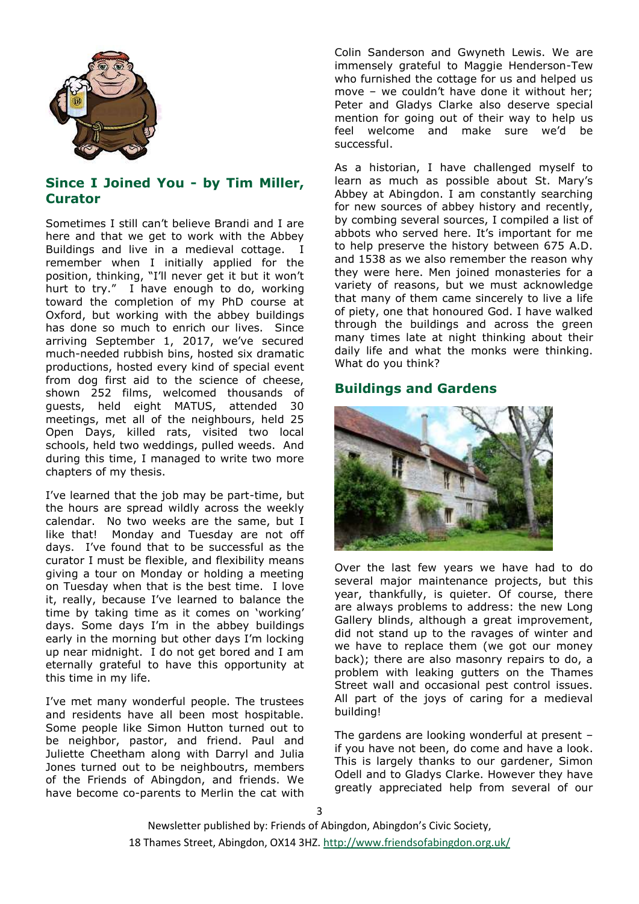

### **Since I Joined You - by Tim Miller, Curator**

Sometimes I still can't believe Brandi and I are here and that we get to work with the Abbey Buildings and live in a medieval cottage. I remember when I initially applied for the position, thinking, "I'll never get it but it won't hurt to try." I have enough to do, working toward the completion of my PhD course at Oxford, but working with the abbey buildings has done so much to enrich our lives. Since arriving September 1, 2017, we've secured much-needed rubbish bins, hosted six dramatic productions, hosted every kind of special event from dog first aid to the science of cheese, shown 252 films, welcomed thousands of guests, held eight MATUS, attended 30 meetings, met all of the neighbours, held 25 Open Days, killed rats, visited two local schools, held two weddings, pulled weeds. And during this time, I managed to write two more chapters of my thesis.

I've learned that the job may be part-time, but the hours are spread wildly across the weekly calendar. No two weeks are the same, but I like that! Monday and Tuesday are not off days. I've found that to be successful as the curator I must be flexible, and flexibility means giving a tour on Monday or holding a meeting on Tuesday when that is the best time. I love it, really, because I've learned to balance the time by taking time as it comes on 'working' days. Some days I'm in the abbey buildings early in the morning but other days I'm locking up near midnight. I do not get bored and I am eternally grateful to have this opportunity at this time in my life.

I've met many wonderful people. The trustees and residents have all been most hospitable. Some people like Simon Hutton turned out to be neighbor, pastor, and friend. Paul and Juliette Cheetham along with Darryl and Julia Jones turned out to be neighboutrs, members of the Friends of Abingdon, and friends. We have become co-parents to Merlin the cat with Colin Sanderson and Gwyneth Lewis. We are immensely grateful to Maggie Henderson-Tew who furnished the cottage for us and helped us move – we couldn't have done it without her; Peter and Gladys Clarke also deserve special mention for going out of their way to help us feel welcome and make sure we'd be successful.

As a historian, I have challenged myself to learn as much as possible about St. Mary's Abbey at Abingdon. I am constantly searching for new sources of abbey history and recently, by combing several sources, I compiled a list of abbots who served here. It's important for me to help preserve the history between 675 A.D. and 1538 as we also remember the reason why they were here. Men joined monasteries for a variety of reasons, but we must acknowledge that many of them came sincerely to live a life of piety, one that honoured God. I have walked through the buildings and across the green many times late at night thinking about their daily life and what the monks were thinking. What do you think?

### **Buildings and Gardens**



Over the last few years we have had to do several major maintenance projects, but this year, thankfully, is quieter. Of course, there are always problems to address: the new Long Gallery blinds, although a great improvement, did not stand up to the ravages of winter and we have to replace them (we got our money back); there are also masonry repairs to do, a problem with leaking gutters on the Thames Street wall and occasional pest control issues. All part of the joys of caring for a medieval building!

The gardens are looking wonderful at present – if you have not been, do come and have a look. This is largely thanks to our gardener, Simon Odell and to Gladys Clarke. However they have greatly appreciated help from several of our

Newsletter published by: Friends of Abingdon, Abingdon's Civic Society, 18 Thames Street, Abingdon, OX14 3HZ.<http://www.friendsofabingdon.org.uk/>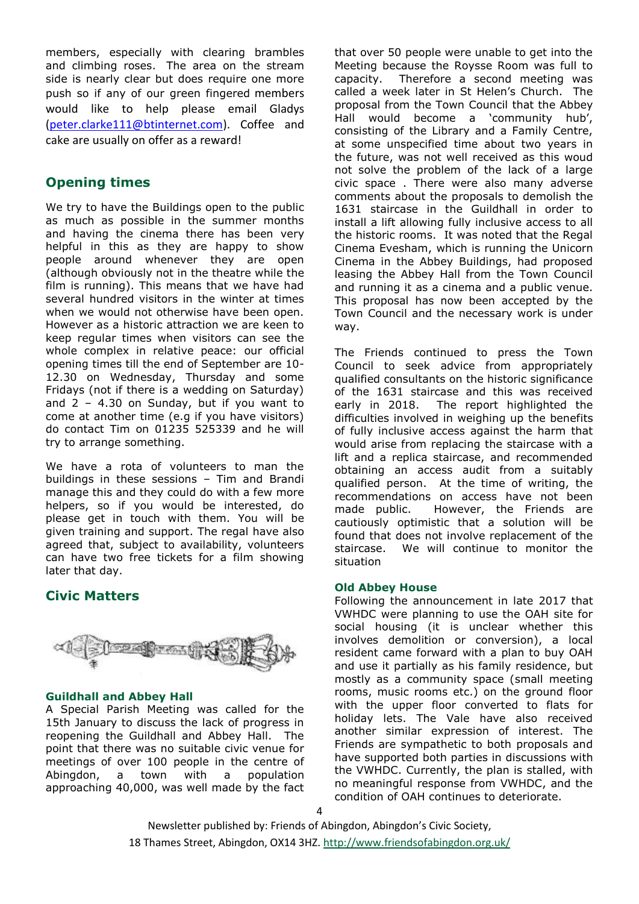members, especially with clearing brambles and climbing roses. The area on the stream side is nearly clear but does require one more push so if any of our green fingered members would like to help please email Gladys [\(peter.clarke111@btinternet.com\)](mailto:peter.clarke111@btinternet.com). Coffee and cake are usually on offer as a reward!

### **Opening times**

We try to have the Buildings open to the public as much as possible in the summer months and having the cinema there has been very helpful in this as they are happy to show people around whenever they are open (although obviously not in the theatre while the film is running). This means that we have had several hundred visitors in the winter at times when we would not otherwise have been open. However as a historic attraction we are keen to keep regular times when visitors can see the whole complex in relative peace: our official opening times till the end of September are 10- 12.30 on Wednesday, Thursday and some Fridays (not if there is a wedding on Saturday) and  $2 - 4.30$  on Sunday, but if you want to come at another time (e.g if you have visitors) do contact Tim on 01235 525339 and he will try to arrange something.

We have a rota of volunteers to man the buildings in these sessions – Tim and Brandi manage this and they could do with a few more helpers, so if you would be interested, do please get in touch with them. You will be given training and support. The regal have also agreed that, subject to availability, volunteers can have two free tickets for a film showing later that day.

### **Civic Matters**



### **Guildhall and Abbey Hall**

A Special Parish Meeting was called for the 15th January to discuss the lack of progress in reopening the Guildhall and Abbey Hall. The point that there was no suitable civic venue for meetings of over 100 people in the centre of Abingdon, a town with a population approaching 40,000, was well made by the fact that over 50 people were unable to get into the Meeting because the Roysse Room was full to capacity. Therefore a second meeting was called a week later in St Helen's Church. The proposal from the Town Council that the Abbey Hall would become a 'community hub', consisting of the Library and a Family Centre, at some unspecified time about two years in the future, was not well received as this woud not solve the problem of the lack of a large civic space . There were also many adverse comments about the proposals to demolish the 1631 staircase in the Guildhall in order to install a lift allowing fully inclusive access to all the historic rooms. It was noted that the Regal Cinema Evesham, which is running the Unicorn Cinema in the Abbey Buildings, had proposed leasing the Abbey Hall from the Town Council and running it as a cinema and a public venue. This proposal has now been accepted by the Town Council and the necessary work is under way.

The Friends continued to press the Town Council to seek advice from appropriately qualified consultants on the historic significance of the 1631 staircase and this was received early in 2018. The report highlighted the difficulties involved in weighing up the benefits of fully inclusive access against the harm that would arise from replacing the staircase with a lift and a replica staircase, and recommended obtaining an access audit from a suitably qualified person. At the time of writing, the recommendations on access have not been made public. However, the Friends are cautiously optimistic that a solution will be found that does not involve replacement of the staircase. We will continue to monitor the situation

### **Old Abbey House**

Following the announcement in late 2017 that VWHDC were planning to use the OAH site for social housing (it is unclear whether this involves demolition or conversion), a local resident came forward with a plan to buy OAH and use it partially as his family residence, but mostly as a community space (small meeting rooms, music rooms etc.) on the ground floor with the upper floor converted to flats for holiday lets. The Vale have also received another similar expression of interest. The Friends are sympathetic to both proposals and have supported both parties in discussions with the VWHDC. Currently, the plan is stalled, with no meaningful response from VWHDC, and the condition of OAH continues to deteriorate.

Newsletter published by: Friends of Abingdon, Abingdon's Civic Society, 18 Thames Street, Abingdon, OX14 3HZ.<http://www.friendsofabingdon.org.uk/>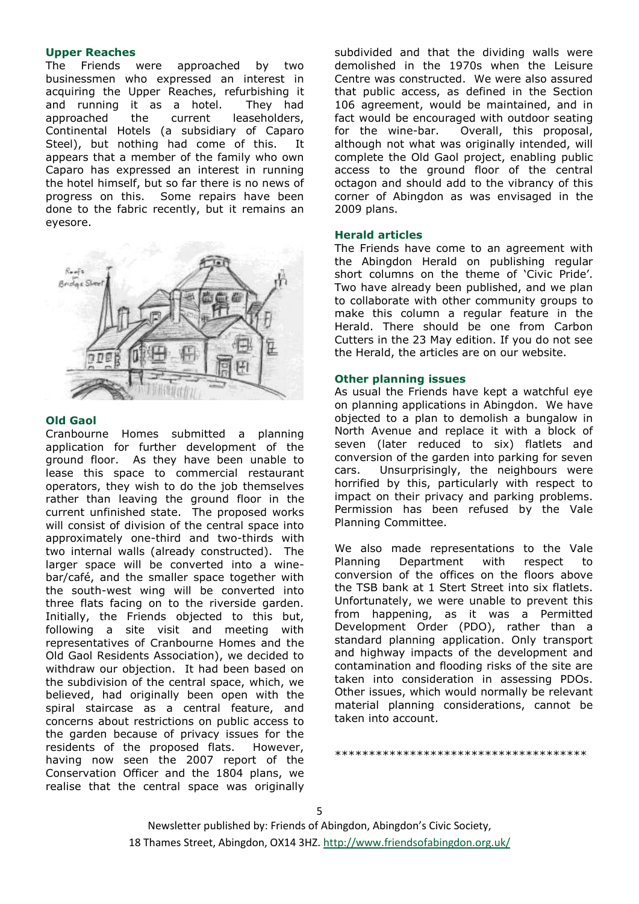### **Upper Reaches**

The Friends were approached by two businessmen who expressed an interest in acquiring the Upper Reaches, refurbishing it and running it as a hotel. They had approached the current leaseholders, Continental Hotels (a subsidiary of Caparo Steel), but nothing had come of this. It appears that a member of the family who own Caparo has expressed an interest in running the hotel himself, but so far there is no news of progress on this. Some repairs have been done to the fabric recently, but it remains an eyesore.



### **Old Gaol**

Cranbourne Homes submitted a planning application for further development of the ground floor. As they have been unable to lease this space to commercial restaurant operators, they wish to do the job themselves rather than leaving the ground floor in the current unfinished state. The proposed works will consist of division of the central space into approximately one-third and two-thirds with two internal walls (already constructed). The larger space will be converted into a winebar/café, and the smaller space together with the south-west wing will be converted into three flats facing on to the riverside garden. Initially, the Friends objected to this but, following a site visit and meeting with representatives of Cranbourne Homes and the Old Gaol Residents Association), we decided to withdraw our objection. It had been based on the subdivision of the central space, which, we believed, had originally been open with the spiral staircase as a central feature, and concerns about restrictions on public access to the garden because of privacy issues for the residents of the proposed flats. However, having now seen the 2007 report of the Conservation Officer and the 1804 plans, we realise that the central space was originally

subdivided and that the dividing walls were demolished in the 1970s when the Leisure Centre was constructed. We were also assured that public access, as defined in the Section 106 agreement, would be maintained, and in fact would be encouraged with outdoor seating for the wine-bar. Overall, this proposal, although not what was originally intended, will complete the Old Gaol project, enabling public access to the ground floor of the central octagon and should add to the vibrancy of this corner of Abingdon as was envisaged in the 2009 plans.

#### **Herald articles**

The Friends have come to an agreement with the Abingdon Herald on publishing regular short columns on the theme of 'Civic Pride'. Two have already been published, and we plan to collaborate with other community groups to make this column a regular feature in the Herald. There should be one from Carbon Cutters in the 23 May edition. If you do not see the Herald, the articles are on our website.

### **Other planning issues**

As usual the Friends have kept a watchful eye on planning applications in Abingdon. We have objected to a plan to demolish a bungalow in North Avenue and replace it with a block of seven (later reduced to six) flatlets and conversion of the garden into parking for seven cars. Unsurprisingly, the neighbours were horrified by this, particularly with respect to impact on their privacy and parking problems. Permission has been refused by the Vale Planning Committee.

We also made representations to the Vale Planning Department with respect to conversion of the offices on the floors above the TSB bank at 1 Stert Street into six flatlets. Unfortunately, we were unable to prevent this from happening, as it was a Permitted Development Order (PDO), rather than a standard planning application. Only transport and highway impacts of the development and contamination and flooding risks of the site are taken into consideration in assessing PDOs. Other issues, which would normally be relevant material planning considerations, cannot be taken into account.

\*\*\*\*\*\*\*\*\*\*\*\*\*\*\*\*\*\*\*\*\*\*\*\*\*\*\*\*\*\*\*\*\*\*\*\*\*